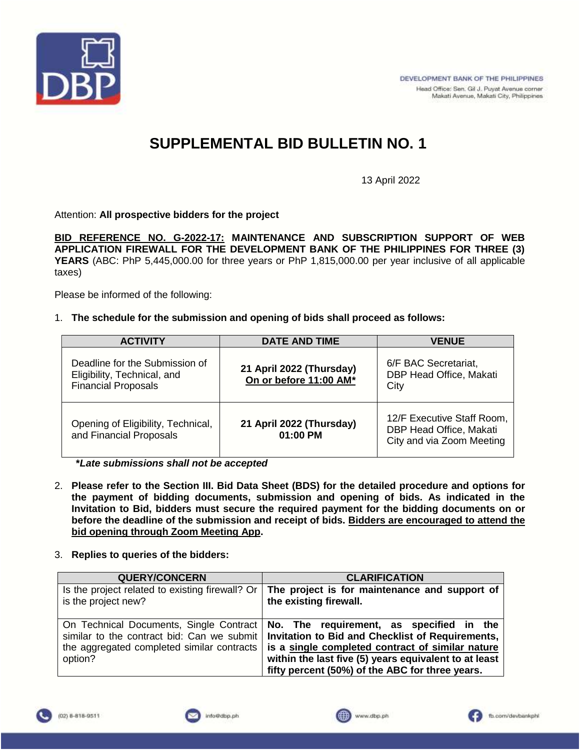

13 April 2022

Attention: **All prospective bidders for the project**

**BID REFERENCE NO. G-2022-17: MAINTENANCE AND SUBSCRIPTION SUPPORT OF WEB APPLICATION FIREWALL FOR THE DEVELOPMENT BANK OF THE PHILIPPINES FOR THREE (3) YEARS** (ABC: PhP 5,445,000.00 for three years or PhP 1,815,000.00 per year inclusive of all applicable taxes)

Please be informed of the following:

1. **The schedule for the submission and opening of bids shall proceed as follows:**

| <b>ACTIVITY</b>                                                                             | <b>DATE AND TIME</b>                               | <b>VENUE</b>                                                                       |  |
|---------------------------------------------------------------------------------------------|----------------------------------------------------|------------------------------------------------------------------------------------|--|
| Deadline for the Submission of<br>Eligibility, Technical, and<br><b>Financial Proposals</b> | 21 April 2022 (Thursday)<br>On or before 11:00 AM* | 6/F BAC Secretariat,<br>DBP Head Office, Makati<br>City                            |  |
| Opening of Eligibility, Technical,<br>and Financial Proposals                               | 21 April 2022 (Thursday)<br>01:00 PM               | 12/F Executive Staff Room,<br>DBP Head Office, Makati<br>City and via Zoom Meeting |  |

**\****Late submissions shall not be accepted*

- 2. **Please refer to the Section III. Bid Data Sheet (BDS) for the detailed procedure and options for the payment of bidding documents, submission and opening of bids. As indicated in the Invitation to Bid, bidders must secure the required payment for the bidding documents on or before the deadline of the submission and receipt of bids. Bidders are encouraged to attend the bid opening through Zoom Meeting App.**
- 3. **Replies to queries of the bidders:**

| <b>QUERY/CONCERN</b>                                                   | <b>CLARIFICATION</b>                                                                                                                                                                                                                                                                                                                                |  |  |
|------------------------------------------------------------------------|-----------------------------------------------------------------------------------------------------------------------------------------------------------------------------------------------------------------------------------------------------------------------------------------------------------------------------------------------------|--|--|
| Is the project related to existing firewall? Or<br>is the project new? | The project is for maintenance and support of<br>the existing firewall.                                                                                                                                                                                                                                                                             |  |  |
| the aggregated completed similar contracts<br>option?                  | On Technical Documents, Single Contract   No. The requirement, as specified in the<br>similar to the contract bid: Can we submit   Invitation to Bid and Checklist of Requirements,<br>is a single completed contract of similar nature<br>within the last five (5) years equivalent to at least<br>fifty percent (50%) of the ABC for three years. |  |  |





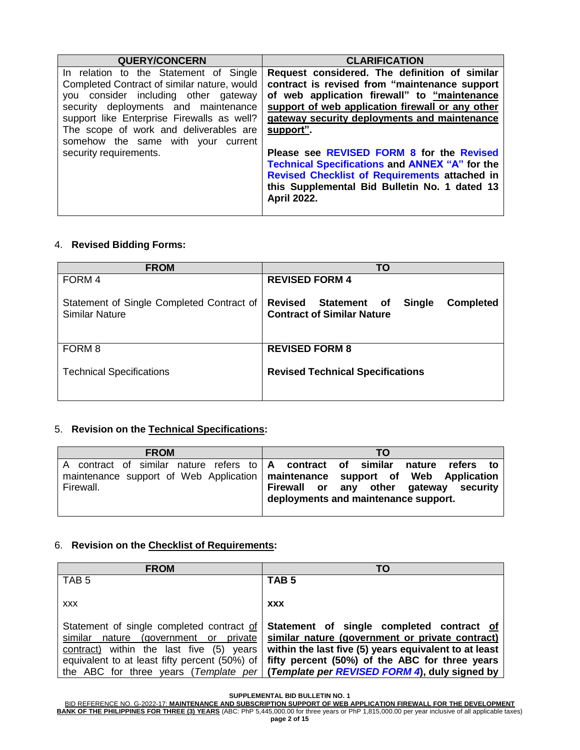| <b>QUERY/CONCERN</b>                        | <b>CLARIFICATION</b>                                  |
|---------------------------------------------|-------------------------------------------------------|
| In relation to the Statement of Single      | Request considered. The definition of similar         |
| Completed Contract of similar nature, would | contract is revised from "maintenance support         |
| you consider including other gateway        | of web application firewall" to "maintenance          |
| security deployments and maintenance        | support of web application firewall or any other      |
| support like Enterprise Firewalls as well?  | gateway security deployments and maintenance          |
| The scope of work and deliverables are      | support".                                             |
| somehow the same with your current          |                                                       |
| security requirements.                      | Please see REVISED FORM 8 for the Revised             |
|                                             | <b>Technical Specifications and ANNEX "A" for the</b> |
|                                             | Revised Checklist of Requirements attached in         |
|                                             | this Supplemental Bid Bulletin No. 1 dated 13         |
|                                             | <b>April 2022.</b>                                    |
|                                             |                                                       |

#### 4. **Revised Bidding Forms:**

| <b>FROM</b>                                                        | TO                                                                                                       |  |  |
|--------------------------------------------------------------------|----------------------------------------------------------------------------------------------------------|--|--|
| FORM 4                                                             | <b>REVISED FORM 4</b>                                                                                    |  |  |
| Statement of Single Completed Contract of<br><b>Similar Nature</b> | <b>Revised</b><br>Statement of<br><b>Single</b><br><b>Completed</b><br><b>Contract of Similar Nature</b> |  |  |
| FORM 8                                                             | <b>REVISED FORM 8</b>                                                                                    |  |  |
| <b>Technical Specifications</b>                                    | <b>Revised Technical Specifications</b>                                                                  |  |  |

#### 5. **Revision on the Technical Specifications:**

| <b>FROM</b>                                                                      | TΟ                                                                              |
|----------------------------------------------------------------------------------|---------------------------------------------------------------------------------|
|                                                                                  | A contract of similar nature refers to   A contract of similar nature refers to |
| maintenance support of Web Application   maintenance support of Web<br>Firewall. | <b>Application</b><br>Firewall or any other gateway security                    |
|                                                                                  | deployments and maintenance support.                                            |

#### 6. **Revision on the Checklist of Requirements:**

| <b>FROM</b>                                   | TO                                                                                    |
|-----------------------------------------------|---------------------------------------------------------------------------------------|
| TAB <sub>5</sub>                              | TAB <sub>5</sub>                                                                      |
| <b>XXX</b>                                    | <b>XXX</b>                                                                            |
| Statement of single completed contract of     | Statement of single completed contract of                                             |
| similar nature (government or private)        | similar nature (government or private contract)                                       |
| contract) within the last five (5) years      | within the last five (5) years equivalent to at least                                 |
| equivalent to at least fifty percent (50%) of | fifty percent (50%) of the ABC for three years                                        |
|                                               | the ABC for three years (Template per   (Template per REVISED FORM 4), duly signed by |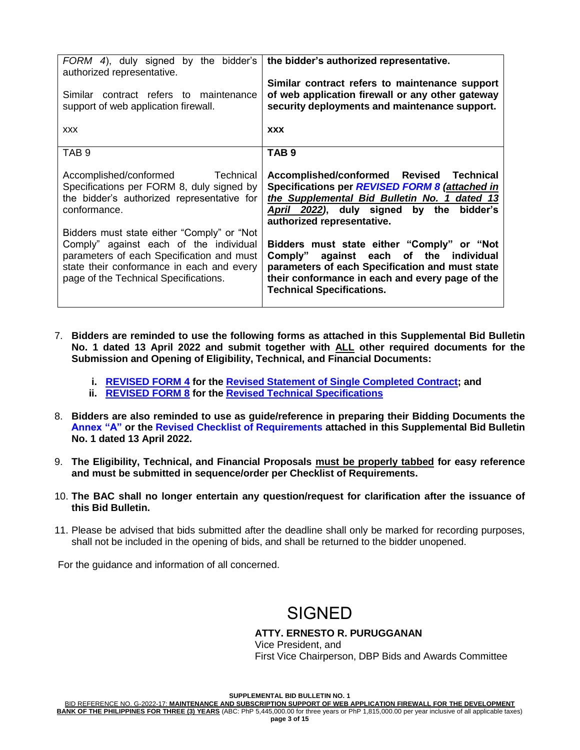| FORM 4), duly signed by the bidder's<br>authorized representative.                                                                                                                           | the bidder's authorized representative.                                                                                                                                                                                        |
|----------------------------------------------------------------------------------------------------------------------------------------------------------------------------------------------|--------------------------------------------------------------------------------------------------------------------------------------------------------------------------------------------------------------------------------|
| Similar contract refers to maintenance<br>support of web application firewall.                                                                                                               | Similar contract refers to maintenance support<br>of web application firewall or any other gateway<br>security deployments and maintenance support.                                                                            |
| <b>XXX</b>                                                                                                                                                                                   | <b>XXX</b>                                                                                                                                                                                                                     |
| TAB <sub>9</sub>                                                                                                                                                                             | TAB <sub>9</sub>                                                                                                                                                                                                               |
| Accomplished/conformed<br>Technical<br>Specifications per FORM 8, duly signed by<br>the bidder's authorized representative for<br>conformance.<br>Bidders must state either "Comply" or "Not | Accomplished/conformed Revised<br>Technical<br>Specifications per REVISED FORM 8 (attached in<br>the Supplemental Bid Bulletin No. 1 dated 13<br>April 2022), duly signed<br>by the bidder's<br>authorized representative.     |
| Comply" against each of the individual<br>parameters of each Specification and must<br>state their conformance in each and every<br>page of the Technical Specifications.                    | Bidders must state either "Comply" or "Not<br>Comply" against each of the individual<br>parameters of each Specification and must state<br>their conformance in each and every page of the<br><b>Technical Specifications.</b> |

- 7. **Bidders are reminded to use the following forms as attached in this Supplemental Bid Bulletin No. 1 dated 13 April 2022 and submit together with ALL other required documents for the Submission and Opening of Eligibility, Technical, and Financial Documents:**
	- **i. REVISED FORM 4 for the Revised Statement of Single Completed Contract; and**
	- **ii. REVISED FORM 8 for the Revised Technical Specifications**
- 8. **Bidders are also reminded to use as guide/reference in preparing their Bidding Documents the Annex "A" or the Revised Checklist of Requirements attached in this Supplemental Bid Bulletin No. 1 dated 13 April 2022.**
- 9. **The Eligibility, Technical, and Financial Proposals must be properly tabbed for easy reference and must be submitted in sequence/order per Checklist of Requirements.**
- 10. **The BAC shall no longer entertain any question/request for clarification after the issuance of this Bid Bulletin.**
- 11. Please be advised that bids submitted after the deadline shall only be marked for recording purposes, shall not be included in the opening of bids, and shall be returned to the bidder unopened.

For the guidance and information of all concerned.

### SIGNED

#### **ATTY. ERNESTO R. PURUGGANAN**

Vice President, and First Vice Chairperson, DBP Bids and Awards Committee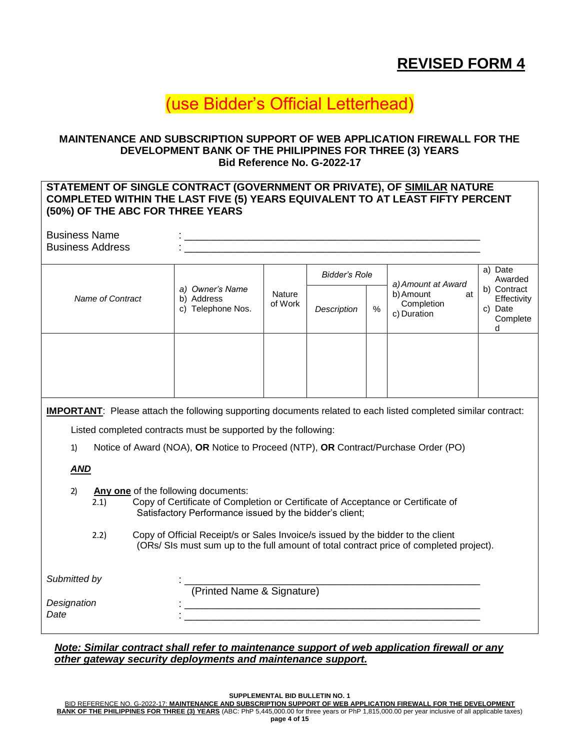### **REVISED FORM 4**

## (use Bidder's Official Letterhead)

#### **MAINTENANCE AND SUBSCRIPTION SUPPORT OF WEB APPLICATION FIREWALL FOR THE DEVELOPMENT BANK OF THE PHILIPPINES FOR THREE (3) YEARS Bid Reference No. G-2022-17**

#### **STATEMENT OF SINGLE CONTRACT (GOVERNMENT OR PRIVATE), OF SIMILAR NATURE COMPLETED WITHIN THE LAST FIVE (5) YEARS EQUIVALENT TO AT LEAST FIFTY PERCENT (50%) OF THE ABC FOR THREE YEARS**

| <b>Business Name</b><br><b>Business Address</b> |                                                    |                   |                      |      |                                                                    |                                                           |
|-------------------------------------------------|----------------------------------------------------|-------------------|----------------------|------|--------------------------------------------------------------------|-----------------------------------------------------------|
|                                                 |                                                    |                   | <b>Bidder's Role</b> |      |                                                                    | a) Date<br>Awarded                                        |
| Name of Contract                                | a) Owner's Name<br>b) Address<br>c) Telephone Nos. | Nature<br>of Work | Description          | $\%$ | a) Amount at Award<br>b) Amount<br>at<br>Completion<br>c) Duration | b) Contract<br>Effectivity<br>Date<br>C)<br>Complete<br>d |
|                                                 |                                                    |                   |                      |      |                                                                    |                                                           |

**IMPORTANT**: Please attach the following supporting documents related to each listed completed similar contract:

Listed completed contracts must be supported by the following:

1) Notice of Award (NOA), **OR** Notice to Proceed (NTP), **OR** Contract/Purchase Order (PO)

#### *AND*

- 2) **Any one** of the following documents:
	- 2.1) Copy of Certificate of Completion or Certificate of Acceptance or Certificate of Satisfactory Performance issued by the bidder's client;
	- 2.2) Copy of Official Receipt/s or Sales Invoice/s issued by the bidder to the client (ORs/ SIs must sum up to the full amount of total contract price of completed project).

| Submitted by |                            |
|--------------|----------------------------|
|              | (Printed Name & Signature) |
| Designation  |                            |
| Date         |                            |

*Note: Similar contract shall refer to maintenance support of web application firewall or any other gateway security deployments and maintenance support.*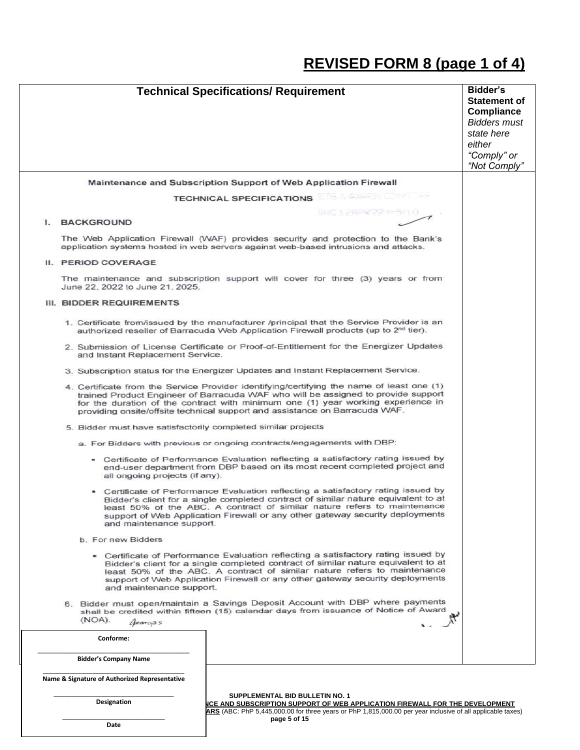# **REVISED FORM 8 (page 1 of 4)**

|                                                               | <b>Technical Specifications/ Requirement</b>                                                                                                                                                                                                                                                                                                      | Bidder's<br><b>Statement of</b><br>Compliance<br><b>Bidders must</b><br>state here<br>either<br>"Comply" or<br>"Not Comply" |  |
|---------------------------------------------------------------|---------------------------------------------------------------------------------------------------------------------------------------------------------------------------------------------------------------------------------------------------------------------------------------------------------------------------------------------------|-----------------------------------------------------------------------------------------------------------------------------|--|
|                                                               | <b>Maintenance and Subscription Support of Web Application Firewall</b>                                                                                                                                                                                                                                                                           |                                                                                                                             |  |
|                                                               | <b>TECHNICAL SPECIFICATIONS</b>                                                                                                                                                                                                                                                                                                                   |                                                                                                                             |  |
| <b>BACKGROUND</b><br>Ъ.                                       | RGC 1288822-850 B                                                                                                                                                                                                                                                                                                                                 |                                                                                                                             |  |
|                                                               | The Web Application Firewall (WAF) provides security and protection to the Bank's<br>application systems hosted in web servers against web-based intrusions and attacks.                                                                                                                                                                          |                                                                                                                             |  |
| II. PERIOD COVERAGE                                           |                                                                                                                                                                                                                                                                                                                                                   |                                                                                                                             |  |
| June 22, 2022 to June 21, 2025.                               | The maintenance and subscription support will cover for three (3) years or from                                                                                                                                                                                                                                                                   |                                                                                                                             |  |
| III. BIDDER REQUIREMENTS                                      |                                                                                                                                                                                                                                                                                                                                                   |                                                                                                                             |  |
|                                                               | 1. Certificate from/issued by the manufacturer /principal that the Service Provider is an<br>authorized reseller of Barracuda Web Application Firewall products (up to 2nd tier).                                                                                                                                                                 |                                                                                                                             |  |
| and Instant Replacement Service.                              | 2. Submission of License Certificate or Proof-of-Entitlement for the Energizer Updates                                                                                                                                                                                                                                                            |                                                                                                                             |  |
|                                                               | 3. Subscription status for the Energizer Updates and Instant Replacement Service.                                                                                                                                                                                                                                                                 |                                                                                                                             |  |
|                                                               | 4. Certificate from the Service Provider identifying/certifying the name of least one (1)<br>trained Product Engineer of Barracuda WAF who will be assigned to provide support<br>for the duration of the contract with minimum one (1) year working experience in<br>providing onsite/offsite technical support and assistance on Barracuda WAF. |                                                                                                                             |  |
| 5. Bidder must have satisfactorily completed similar projects |                                                                                                                                                                                                                                                                                                                                                   |                                                                                                                             |  |
|                                                               | a. For Bidders with previous or ongoing contracts/engagements with DBP:                                                                                                                                                                                                                                                                           |                                                                                                                             |  |
| all ongoing projects (if any).                                | - Certificate of Performance Evaluation reflecting a satisfactory rating issued by<br>end-user department from DBP based on its most recent completed project and                                                                                                                                                                                 |                                                                                                                             |  |
| and maintenance support.                                      | • Certificate of Performance Evaluation reflecting a satisfactory rating issued by<br>Bidder's client for a single completed contract of similar nature equivalent to at<br>least 50% of the ABC. A contract of similar nature refers to maintenance<br>support of Web Application Firewall or any other gateway security deployments             |                                                                                                                             |  |
| b. For new Bidders                                            |                                                                                                                                                                                                                                                                                                                                                   |                                                                                                                             |  |
| and maintenance support.                                      | • Certificate of Performance Evaluation reflecting a satisfactory rating issued by<br>Bidder's client for a single completed contract of similar nature equivalent to at<br>least 50% of the ABC. A contract of similar nature refers to maintenance<br>support of Web Application Firewall or any other gateway security deployments             |                                                                                                                             |  |
| (NOA).<br><i>Quargas</i>                                      | 6. Bidder must open/maintain a Savings Deposit Account with DBP where payments<br>shall be credited within fifteen (15) calendar days from issuance of Notice of Award                                                                                                                                                                            |                                                                                                                             |  |
| Conforme:                                                     |                                                                                                                                                                                                                                                                                                                                                   |                                                                                                                             |  |
| <b>Bidder's Company Name</b>                                  |                                                                                                                                                                                                                                                                                                                                                   |                                                                                                                             |  |
| Name & Signature of Authorized Representative                 |                                                                                                                                                                                                                                                                                                                                                   |                                                                                                                             |  |
| Designation                                                   | SUPPLEMENTAL BID BULLETIN NO. 1<br>ICE AND SUBSCRIPTION SUPPORT OF WEB APPLICATION FIREWALL FOR THE DEVELOPMENT                                                                                                                                                                                                                                   |                                                                                                                             |  |
| Date                                                          | ARS (ABC: PhP 5,445,000.00 for three years or PhP 1,815,000.00 per year inclusive of all applicable taxes)<br>page 5 of 15                                                                                                                                                                                                                        |                                                                                                                             |  |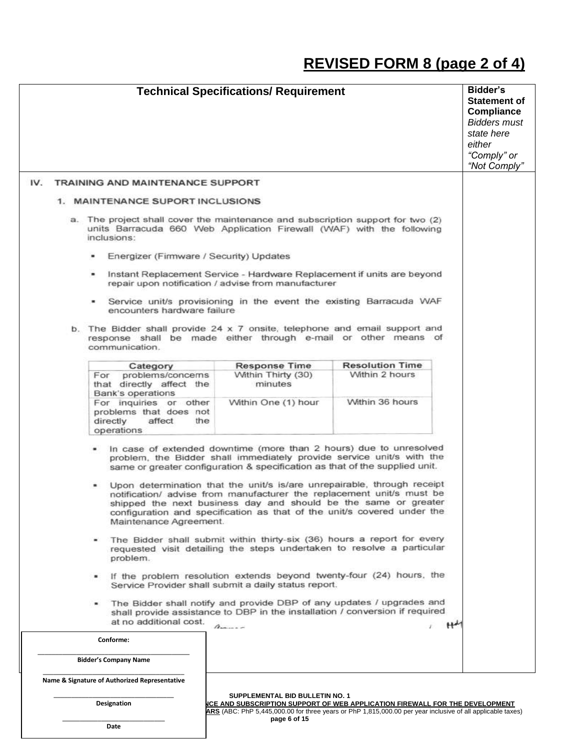# **REVISED FORM 8 (page 2 of 4)**

|     | <b>Technical Specifications/ Requirement</b>                                                                                                                                                                                                                                                                                                                                                                                                                                                                                                                                                                                                                                                                                                                                                                                                                                                                                                                                                                                                                                                                                                  | <b>Bidder's</b><br><b>Statement of</b><br><b>Compliance</b><br><b>Bidders must</b><br>state here<br>either<br>"Comply" or<br>"Not Comply" |
|-----|-----------------------------------------------------------------------------------------------------------------------------------------------------------------------------------------------------------------------------------------------------------------------------------------------------------------------------------------------------------------------------------------------------------------------------------------------------------------------------------------------------------------------------------------------------------------------------------------------------------------------------------------------------------------------------------------------------------------------------------------------------------------------------------------------------------------------------------------------------------------------------------------------------------------------------------------------------------------------------------------------------------------------------------------------------------------------------------------------------------------------------------------------|-------------------------------------------------------------------------------------------------------------------------------------------|
| IV. | <b>TRAINING AND MAINTENANCE SUPPORT</b>                                                                                                                                                                                                                                                                                                                                                                                                                                                                                                                                                                                                                                                                                                                                                                                                                                                                                                                                                                                                                                                                                                       |                                                                                                                                           |
|     | 1. MAINTENANCE SUPORT INCLUSIONS                                                                                                                                                                                                                                                                                                                                                                                                                                                                                                                                                                                                                                                                                                                                                                                                                                                                                                                                                                                                                                                                                                              |                                                                                                                                           |
|     | a. The project shall cover the maintenance and subscription support for two (2)<br>units Barracuda 660 Web Application Firewall (WAF) with the following<br>inclusions:                                                                                                                                                                                                                                                                                                                                                                                                                                                                                                                                                                                                                                                                                                                                                                                                                                                                                                                                                                       |                                                                                                                                           |
|     | Energizer (Firmware / Security) Updates                                                                                                                                                                                                                                                                                                                                                                                                                                                                                                                                                                                                                                                                                                                                                                                                                                                                                                                                                                                                                                                                                                       |                                                                                                                                           |
|     | Instant Replacement Service - Hardware Replacement if units are beyond<br>$\blacksquare$<br>repair upon notification / advise from manufacturer                                                                                                                                                                                                                                                                                                                                                                                                                                                                                                                                                                                                                                                                                                                                                                                                                                                                                                                                                                                               |                                                                                                                                           |
|     | Service unit/s provisioning in the event the existing Barracuda WAF<br>encounters hardware failure                                                                                                                                                                                                                                                                                                                                                                                                                                                                                                                                                                                                                                                                                                                                                                                                                                                                                                                                                                                                                                            |                                                                                                                                           |
|     | b. The Bidder shall provide 24 x 7 onsite, telephone and email support and<br>response shall be made either through e-mail or other means of<br>communication.                                                                                                                                                                                                                                                                                                                                                                                                                                                                                                                                                                                                                                                                                                                                                                                                                                                                                                                                                                                |                                                                                                                                           |
|     | <b>Resolution Time</b><br><b>Response Time</b><br>Category<br>Within Thirty (30)<br>Within 2 hours<br>problems/concerns<br>For<br>that directly affect the<br>minutes<br>Bank's operations<br>Within 36 hours<br>For inquiries or other<br>Within One (1) hour<br>problems that does not<br>directly<br>affect<br>the<br>operations                                                                                                                                                                                                                                                                                                                                                                                                                                                                                                                                                                                                                                                                                                                                                                                                           |                                                                                                                                           |
|     | In case of extended downtime (more than 2 hours) due to unresolved<br>problem, the Bidder shall immediately provide service unit/s with the<br>same or greater configuration & specification as that of the supplied unit.<br>Upon determination that the unit/s is/are unrepairable, through receipt<br>notification/ advise from manufacturer the replacement unit/s must be<br>shipped the next business day and should be the same or greater<br>configuration and specification as that of the unit/s covered under the<br>Maintenance Agreement.<br>The Bidder shall submit within thirty-six (36) hours a report for every<br>۰<br>requested visit detailing the steps undertaken to resolve a particular<br>problem.<br>. If the problem resolution extends beyond twenty-four (24) hours, the<br>Service Provider shall submit a daily status report.<br>The Bidder shall notify and provide DBP of any updates / upgrades and<br>$\blacksquare$<br>shall provide assistance to DBP in the installation / conversion if required<br>at no additional cost.<br>$H^{\mu\nu}$<br>$\Lambda$<br>Conforme:<br><b>Bidder's Company Name</b> |                                                                                                                                           |
|     | Name & Signature of Authorized Representative                                                                                                                                                                                                                                                                                                                                                                                                                                                                                                                                                                                                                                                                                                                                                                                                                                                                                                                                                                                                                                                                                                 |                                                                                                                                           |
|     | SUPPLEMENTAL BID BULLETIN NO. 1<br>Designation<br><b>ICE AND SUBSCRIPTION SUPPORT OF WEB APPLICATION FIREWALL FOR THE DEVELOPMENT</b><br>ARS (ABC: PhP 5,445,000.00 for three years or PhP 1,815,000.00 per year inclusive of all applicable taxes)                                                                                                                                                                                                                                                                                                                                                                                                                                                                                                                                                                                                                                                                                                                                                                                                                                                                                           |                                                                                                                                           |

**page 6 of 15**

\_\_\_\_\_\_\_\_\_\_\_\_\_\_\_\_\_\_\_\_\_\_\_\_\_\_\_\_\_ **Date**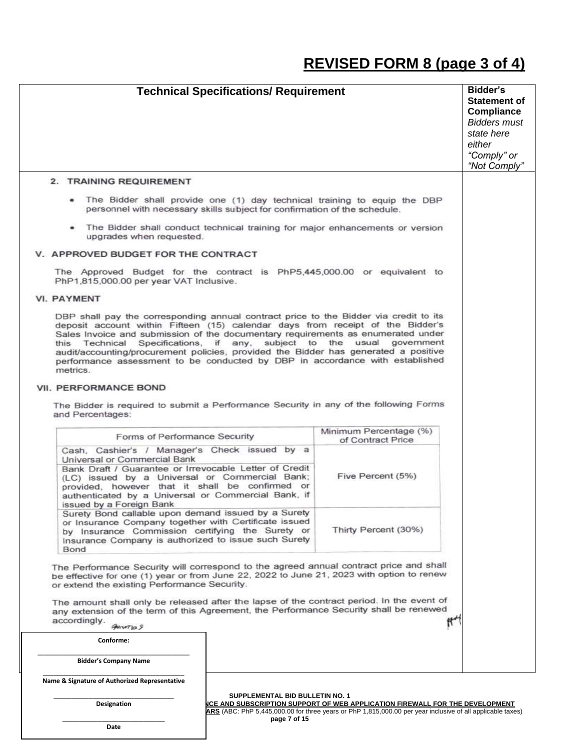## **REVISED FORM 8 (page 3 of 4)**

| <b>Technical Specifications/ Requirement</b>                                                                                                                                                                                                                                                                                                                                                                                                                                                                                                                                                                                                        |                                                                                      | Bidder's<br><b>Statement of</b><br><b>Compliance</b><br><b>Bidders must</b><br>state here<br>either<br>"Comply" or<br>"Not Comply" |
|-----------------------------------------------------------------------------------------------------------------------------------------------------------------------------------------------------------------------------------------------------------------------------------------------------------------------------------------------------------------------------------------------------------------------------------------------------------------------------------------------------------------------------------------------------------------------------------------------------------------------------------------------------|--------------------------------------------------------------------------------------|------------------------------------------------------------------------------------------------------------------------------------|
| 2. TRAINING REQUIREMENT                                                                                                                                                                                                                                                                                                                                                                                                                                                                                                                                                                                                                             |                                                                                      |                                                                                                                                    |
| The Bidder shall provide one (1) day technical training to equip the DBP<br>personnel with necessary skills subject for confirmation of the schedule.                                                                                                                                                                                                                                                                                                                                                                                                                                                                                               |                                                                                      |                                                                                                                                    |
| • The Bidder shall conduct technical training for major enhancements or version<br>upgrades when requested.                                                                                                                                                                                                                                                                                                                                                                                                                                                                                                                                         |                                                                                      |                                                                                                                                    |
| V. APPROVED BUDGET FOR THE CONTRACT                                                                                                                                                                                                                                                                                                                                                                                                                                                                                                                                                                                                                 |                                                                                      |                                                                                                                                    |
| The Approved Budget for the contract is PhP5,445,000.00 or equivalent to<br>PhP1,815,000.00 per year VAT Inclusive.                                                                                                                                                                                                                                                                                                                                                                                                                                                                                                                                 |                                                                                      |                                                                                                                                    |
| <b>VI. PAYMENT</b>                                                                                                                                                                                                                                                                                                                                                                                                                                                                                                                                                                                                                                  |                                                                                      |                                                                                                                                    |
| DBP shall pay the corresponding annual contract price to the Bidder via credit to its<br>deposit account within Fifteen (15) calendar days from receipt of the Bidder's<br>Sales Invoice and submission of the documentary requirements as enumerated under<br>this Technical Specifications, if any, subject to the usual<br>audit/accounting/procurement policies, provided the Bidder has generated a positive<br>performance assessment to be conducted by DBP in accordance with established<br>metrics.<br>VII. PERFORMANCE BOND<br>The Bidder is required to submit a Performance Security in any of the following Forms<br>and Percentages: | government                                                                           |                                                                                                                                    |
|                                                                                                                                                                                                                                                                                                                                                                                                                                                                                                                                                                                                                                                     | Minimum Percentage (%)                                                               |                                                                                                                                    |
| Forms of Performance Security                                                                                                                                                                                                                                                                                                                                                                                                                                                                                                                                                                                                                       | of Contract Price                                                                    |                                                                                                                                    |
| Cash, Cashier's / Manager's Check issued by a<br>Universal or Commercial Bank<br>Bank Draft / Guarantee or Irrevocable Letter of Credit<br>(LC) issued by a Universal or Commercial Bank;<br>provided, however that it shall be confirmed or<br>authenticated by a Universal or Commercial Bank, if<br>issued by a Foreign Bank                                                                                                                                                                                                                                                                                                                     | Five Percent (5%)                                                                    |                                                                                                                                    |
| Surety Bond callable upon demand issued by a Surety<br>or Insurance Company together with Certificate issued<br>by Insurance Commission certifying the Surety or<br>Insurance Company is authorized to issue such Surety<br>Bond                                                                                                                                                                                                                                                                                                                                                                                                                    |                                                                                      |                                                                                                                                    |
| The Performance Security will correspond to the agreed annual contract price and shall<br>be effective for one (1) year or from June 22, 2022 to June 21, 2023 with option to renew<br>or extend the existing Performance Security.<br>The amount shall only be released after the lapse of the contract period. In the event of<br>any extension of the term of this Agreement, the Performance Security shall be renewed<br>accordingly.<br>General S                                                                                                                                                                                             |                                                                                      |                                                                                                                                    |
| Conforme:                                                                                                                                                                                                                                                                                                                                                                                                                                                                                                                                                                                                                                           |                                                                                      |                                                                                                                                    |
| <b>Bidder's Company Name</b>                                                                                                                                                                                                                                                                                                                                                                                                                                                                                                                                                                                                                        |                                                                                      |                                                                                                                                    |
| Name & Signature of Authorized Representative                                                                                                                                                                                                                                                                                                                                                                                                                                                                                                                                                                                                       |                                                                                      |                                                                                                                                    |
| SUPPLEMENTAL BID BULLETIN NO. 1<br>Designation                                                                                                                                                                                                                                                                                                                                                                                                                                                                                                                                                                                                      | <u> NCE AND SUBSCRIPTION SUPPORT OF WEB APPLICATION FIREWALL FOR THE DEVELOPMENT</u> |                                                                                                                                    |

**ARS** (ABC: PhP 5,445,000.00 for three years or PhP 1,815,000.00 per year inclusive of all applicable taxes) **page 7 of 15**

\_\_\_\_\_\_\_\_\_\_\_\_\_\_\_\_\_\_\_\_\_\_\_\_\_\_\_\_\_ **Date**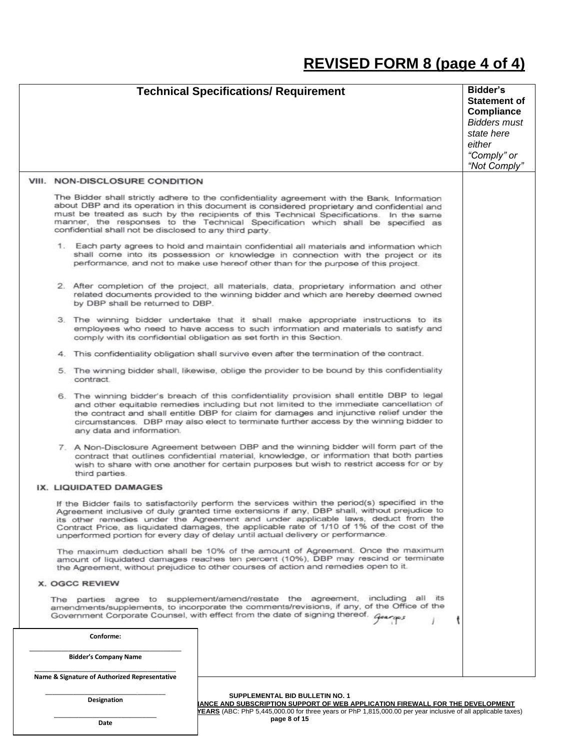## **REVISED FORM 8 (page 4 of 4)**

|  |                                                         | <b>Technical Specifications/ Requirement</b>                                                                                                                                                                                                                                                                                                                                                                                                                            | Bidder's<br><b>Statement of</b><br><b>Compliance</b><br><b>Bidders must</b><br>state here<br>either<br>"Comply" or<br>"Not Comply" |
|--|---------------------------------------------------------|-------------------------------------------------------------------------------------------------------------------------------------------------------------------------------------------------------------------------------------------------------------------------------------------------------------------------------------------------------------------------------------------------------------------------------------------------------------------------|------------------------------------------------------------------------------------------------------------------------------------|
|  | VIII. NON-DISCLOSURE CONDITION                          |                                                                                                                                                                                                                                                                                                                                                                                                                                                                         |                                                                                                                                    |
|  | confidential shall not be disclosed to any third party. | The Bidder shall strictly adhere to the confidentiality agreement with the Bank. Information<br>about DBP and its operation in this document is considered proprietary and confidential and<br>must be treated as such by the recipients of this Technical Specifications. In the same<br>manner, the responses to the Technical Specification which shall be specified as                                                                                              |                                                                                                                                    |
|  |                                                         | 1. Each party agrees to hold and maintain confidential all materials and information which<br>shall come into its possession or knowledge in connection with the project or its<br>performance, and not to make use hereof other than for the purpose of this project.                                                                                                                                                                                                  |                                                                                                                                    |
|  | by DBP shall be returned to DBP.                        | 2. After completion of the project, all materials, data, proprietary information and other<br>related documents provided to the winning bidder and which are hereby deemed owned                                                                                                                                                                                                                                                                                        |                                                                                                                                    |
|  |                                                         | 3. The winning bidder undertake that it shall make appropriate instructions to its<br>employees who need to have access to such information and materials to satisfy and<br>comply with its confidential obligation as set forth in this Section.                                                                                                                                                                                                                       |                                                                                                                                    |
|  |                                                         | 4. This confidentiality obligation shall survive even after the termination of the contract.                                                                                                                                                                                                                                                                                                                                                                            |                                                                                                                                    |
|  | contract                                                | 5. The winning bidder shall, likewise, oblige the provider to be bound by this confidentiality                                                                                                                                                                                                                                                                                                                                                                          |                                                                                                                                    |
|  | any data and information.                               | 6. The winning bidder's breach of this confidentiality provision shall entitle DBP to legal<br>and other equitable remedies including but not limited to the immediate cancellation of<br>the contract and shall entitle DBP for claim for damages and injunctive relief under the<br>circumstances. DBP may also elect to terminate further access by the winning bidder to                                                                                            |                                                                                                                                    |
|  | third parties.                                          | 7. A Non-Disclosure Agreement between DBP and the winning bidder will form part of the<br>contract that outlines confidential material, knowledge, or information that both parties<br>wish to share with one another for certain purposes but wish to restrict access for or by                                                                                                                                                                                        |                                                                                                                                    |
|  | IX. LIQUIDATED DAMAGES                                  |                                                                                                                                                                                                                                                                                                                                                                                                                                                                         |                                                                                                                                    |
|  |                                                         | If the Bidder fails to satisfactorily perform the services within the period(s) specified in the<br>Agreement inclusive of duly granted time extensions if any, DBP shall, without prejudice to<br>its other remedies under the Agreement and under applicable laws, deduct from the<br>Contract Price, as liquidated damages, the applicable rate of 1/10 of 1% of the cost of the<br>unperformed portion for every day of delay until actual delivery or performance. |                                                                                                                                    |
|  |                                                         | The maximum deduction shall be 10% of the amount of Agreement. Once the maximum<br>amount of liquidated damages reaches ten percent (10%), DBP may rescind or terminate<br>the Agreement, without prejudice to other courses of action and remedies open to it.                                                                                                                                                                                                         |                                                                                                                                    |
|  | X. OGCC REVIEW                                          |                                                                                                                                                                                                                                                                                                                                                                                                                                                                         |                                                                                                                                    |
|  |                                                         | The parties agree to supplement/amend/restate the agreement, including all its<br>amendments/supplements, to incorporate the comments/revisions, if any, of the Office of the<br>Government Corporate Counsel, with effect from the date of signing thereof. Guarges                                                                                                                                                                                                    |                                                                                                                                    |
|  | Conforme:                                               |                                                                                                                                                                                                                                                                                                                                                                                                                                                                         |                                                                                                                                    |
|  | <b>Bidder's Company Name</b>                            |                                                                                                                                                                                                                                                                                                                                                                                                                                                                         |                                                                                                                                    |
|  | Name & Signature of Authorized Representative           |                                                                                                                                                                                                                                                                                                                                                                                                                                                                         |                                                                                                                                    |
|  | Designation                                             | SUPPLEMENTAL BID BULLETIN NO. 1<br>IANCE AND SUBSCRIPTION SUPPORT OF WEB APPLICATION FIREWALL FOR THE DEVELOPMENT<br>YEARS (ABC: PhP 5,445,000.00 for three years or PhP 1,815,000.00 per year inclusive of all applicable taxes)                                                                                                                                                                                                                                       |                                                                                                                                    |

**page 8 of 15**

\_\_\_\_\_\_\_\_\_\_\_\_\_\_\_\_\_\_\_\_\_\_\_\_\_\_\_\_\_ **Date**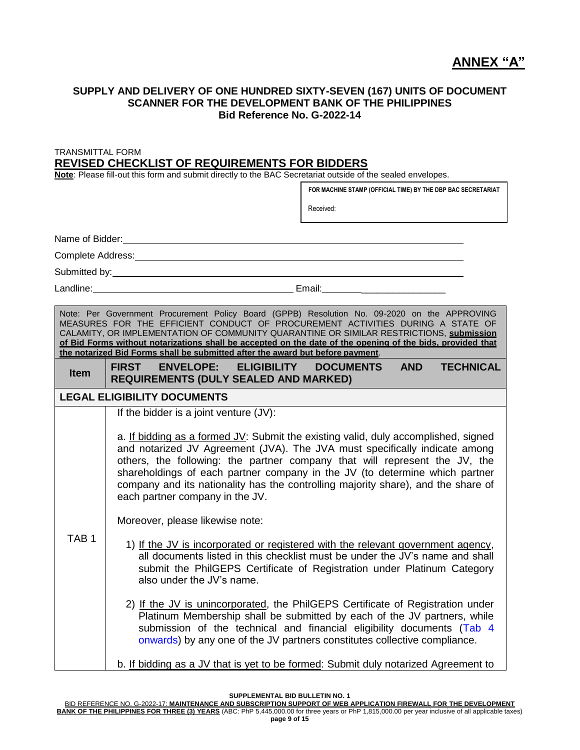### **ANNEX "A"**

#### **SUPPLY AND DELIVERY OF ONE HUNDRED SIXTY-SEVEN (167) UNITS OF DOCUMENT SCANNER FOR THE DEVELOPMENT BANK OF THE PHILIPPINES Bid Reference No. G-2022-14**

TRANSMITTAL FORM

#### **REVISED CHECKLIST OF REQUIREMENTS FOR BIDDERS**

**Note**: Please fill-out this form and submit directly to the BAC Secretariat outside of the sealed envelopes.

Name of Bidder: Complete Address: Submitted by: Landline: Email: Note: Per Government Procurement Policy Board (GPPB) Resolution No. 09-2020 on the APPROVING MEASURES FOR THE EFFICIENT CONDUCT OF PROCUREMENT ACTIVITIES DURING A STATE OF CALAMITY, OR IMPLEMENTATION OF COMMUNITY QUARANTINE OR SIMILAR RESTRICTIONS, **submission of Bid Forms without notarizations shall be accepted on the date of the opening of the bids, provided that the notarized Bid Forms shall be submitted after the award but before payment**. **Item FIRST ENVELOPE: ELIGIBILITY DOCUMENTS AND TECHNICAL REQUIREMENTS (DULY SEALED AND MARKED) LEGAL ELIGIBILITY DOCUMENTS** TAB 1 If the bidder is a joint venture (JV): a. If bidding as a formed JV: Submit the existing valid, duly accomplished, signed and notarized JV Agreement (JVA). The JVA must specifically indicate among others, the following: the partner company that will represent the JV, the shareholdings of each partner company in the JV (to determine which partner company and its nationality has the controlling majority share), and the share of each partner company in the JV. Moreover, please likewise note: 1) If the JV is incorporated or registered with the relevant government agency, all documents listed in this checklist must be under the JV's name and shall submit the PhilGEPS Certificate of Registration under Platinum Category also under the JV's name. 2) If the JV is unincorporated, the PhilGEPS Certificate of Registration under Platinum Membership shall be submitted by each of the JV partners, while submission of the technical and financial eligibility documents (Tab 4 onwards) by any one of the JV partners constitutes collective compliance. b. If bidding as a JV that is yet to be formed: Submit duly notarized Agreement to **FOR MACHINE STAMP (OFFICIAL TIME) BY THE DBP BAC SECRETARIAT** Received: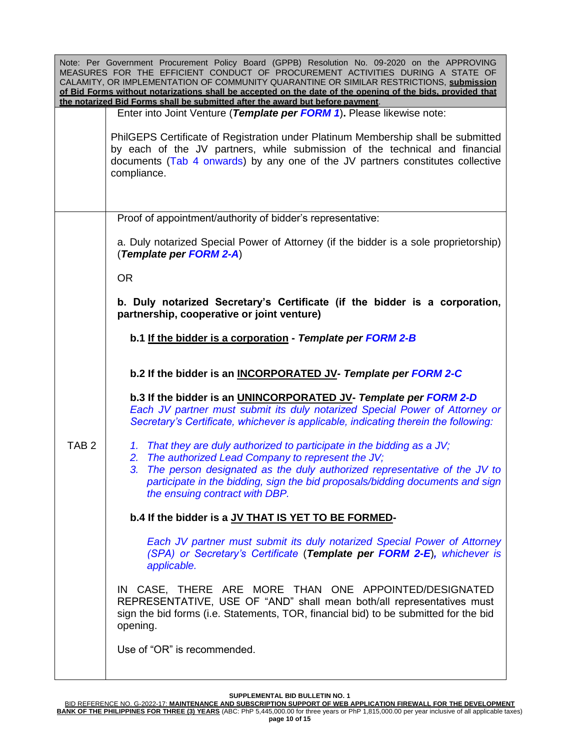| Note: Per Government Procurement Policy Board (GPPB) Resolution No. 09-2020 on the APPROVING<br>MEASURES FOR THE EFFICIENT CONDUCT OF PROCUREMENT ACTIVITIES DURING A STATE OF<br>CALAMITY, OR IMPLEMENTATION OF COMMUNITY QUARANTINE OR SIMILAR RESTRICTIONS, submission<br>of Bid Forms without notarizations shall be accepted on the date of the opening of the bids, provided that<br>the notarized Bid Forms shall be submitted after the award but before payment. |                                                                                                                                                                                                                                                                   |  |  |
|---------------------------------------------------------------------------------------------------------------------------------------------------------------------------------------------------------------------------------------------------------------------------------------------------------------------------------------------------------------------------------------------------------------------------------------------------------------------------|-------------------------------------------------------------------------------------------------------------------------------------------------------------------------------------------------------------------------------------------------------------------|--|--|
|                                                                                                                                                                                                                                                                                                                                                                                                                                                                           | Enter into Joint Venture (Template per FORM 1). Please likewise note:                                                                                                                                                                                             |  |  |
|                                                                                                                                                                                                                                                                                                                                                                                                                                                                           | PhilGEPS Certificate of Registration under Platinum Membership shall be submitted<br>by each of the JV partners, while submission of the technical and financial<br>documents (Tab 4 onwards) by any one of the JV partners constitutes collective<br>compliance. |  |  |
|                                                                                                                                                                                                                                                                                                                                                                                                                                                                           | Proof of appointment/authority of bidder's representative:                                                                                                                                                                                                        |  |  |
|                                                                                                                                                                                                                                                                                                                                                                                                                                                                           | a. Duly notarized Special Power of Attorney (if the bidder is a sole proprietorship)<br>(Template per FORM 2-A)                                                                                                                                                   |  |  |
|                                                                                                                                                                                                                                                                                                                                                                                                                                                                           | <b>OR</b>                                                                                                                                                                                                                                                         |  |  |
|                                                                                                                                                                                                                                                                                                                                                                                                                                                                           | b. Duly notarized Secretary's Certificate (if the bidder is a corporation,<br>partnership, cooperative or joint venture)                                                                                                                                          |  |  |
|                                                                                                                                                                                                                                                                                                                                                                                                                                                                           | b.1 If the bidder is a corporation - Template per FORM 2-B                                                                                                                                                                                                        |  |  |
|                                                                                                                                                                                                                                                                                                                                                                                                                                                                           | b.2 If the bidder is an INCORPORATED JV- Template per FORM 2-C                                                                                                                                                                                                    |  |  |
|                                                                                                                                                                                                                                                                                                                                                                                                                                                                           | b.3 If the bidder is an UNINCORPORATED JV- Template per FORM 2-D<br>Each JV partner must submit its duly notarized Special Power of Attorney or<br>Secretary's Certificate, whichever is applicable, indicating therein the following:                            |  |  |
| TAB <sub>2</sub>                                                                                                                                                                                                                                                                                                                                                                                                                                                          | 1. That they are duly authorized to participate in the bidding as a JV;<br>2. The authorized Lead Company to represent the JV;                                                                                                                                    |  |  |
|                                                                                                                                                                                                                                                                                                                                                                                                                                                                           | The person designated as the duly authorized representative of the JV to<br>3.<br>participate in the bidding, sign the bid proposals/bidding documents and sign<br>the ensuing contract with DBP.                                                                 |  |  |
|                                                                                                                                                                                                                                                                                                                                                                                                                                                                           | b.4 If the bidder is a JV THAT IS YET TO BE FORMED-                                                                                                                                                                                                               |  |  |
|                                                                                                                                                                                                                                                                                                                                                                                                                                                                           | Each JV partner must submit its duly notarized Special Power of Attorney<br>(SPA) or Secretary's Certificate (Template per FORM 2-E), whichever is<br>applicable.                                                                                                 |  |  |
|                                                                                                                                                                                                                                                                                                                                                                                                                                                                           | IN CASE, THERE ARE MORE THAN ONE APPOINTED/DESIGNATED<br>REPRESENTATIVE, USE OF "AND" shall mean both/all representatives must<br>sign the bid forms (i.e. Statements, TOR, financial bid) to be submitted for the bid<br>opening.                                |  |  |
|                                                                                                                                                                                                                                                                                                                                                                                                                                                                           | Use of "OR" is recommended.                                                                                                                                                                                                                                       |  |  |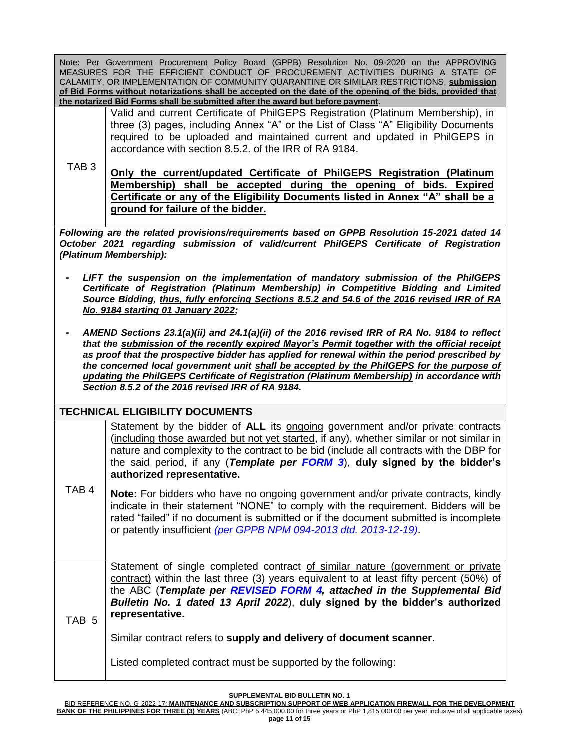Note: Per Government Procurement Policy Board (GPPB) Resolution No. 09-2020 on the APPROVING MEASURES FOR THE EFFICIENT CONDUCT OF PROCUREMENT ACTIVITIES DURING A STATE OF CALAMITY, OR IMPLEMENTATION OF COMMUNITY QUARANTINE OR SIMILAR RESTRICTIONS, **submission of Bid Forms without notarizations shall be accepted on the date of the opening of the bids, provided that the notarized Bid Forms shall be submitted after the award but before payment**.

Valid and current Certificate of PhilGEPS Registration (Platinum Membership), in three (3) pages, including Annex "A" or the List of Class "A" Eligibility Documents required to be uploaded and maintained current and updated in PhilGEPS in accordance with section 8.5.2. of the IRR of RA 9184.

TAB 3 **Only the current/updated Certificate of PhilGEPS Registration (Platinum Membership) shall be accepted during the opening of bids. Expired Certificate or any of the Eligibility Documents listed in Annex "A" shall be a ground for failure of the bidder.**

*Following are the related provisions/requirements based on GPPB Resolution 15-2021 dated 14 October 2021 regarding submission of valid/current PhilGEPS Certificate of Registration (Platinum Membership):*

- **-** *LIFT the suspension on the implementation of mandatory submission of the PhilGEPS Certificate of Registration (Platinum Membership) in Competitive Bidding and Limited Source Bidding, thus, fully enforcing Sections 8.5.2 and 54.6 of the 2016 revised IRR of RA No. 9184 starting 01 January 2022;*
- **-** *AMEND Sections 23.1(a)(ii) and 24.1(a)(ii) of the 2016 revised IRR of RA No. 9184 to reflect that the submission of the recently expired Mayor's Permit together with the official receipt as proof that the prospective bidder has applied for renewal within the period prescribed by the concerned local government unit shall be accepted by the PhilGEPS for the purpose of updating the PhilGEPS Certificate of Registration (Platinum Membership) in accordance with Section 8.5.2 of the 2016 revised IRR of RA 9184.*

#### **TECHNICAL ELIGIBILITY DOCUMENTS**

Statement by the bidder of **ALL** its ongoing government and/or private contracts (including those awarded but not yet started, if any), whether similar or not similar in nature and complexity to the contract to be bid (include all contracts with the DBP for the said period, if any (*Template per FORM 3*), **duly signed by the bidder's authorized representative.**

TAB 4 **Note:** For bidders who have no ongoing government and/or private contracts, kindly indicate in their statement "NONE" to comply with the requirement. Bidders will be rated "failed" if no document is submitted or if the document submitted is incomplete or patently insufficient *(per GPPB NPM 094-2013 dtd. 2013-12-19)*.

TAB 5 Statement of single completed contract of similar nature (government or private contract) within the last three (3) years equivalent to at least fifty percent (50%) of the ABC (*Template per REVISED FORM 4, attached in the Supplemental Bid Bulletin No. 1 dated 13 April 2022*), **duly signed by the bidder's authorized representative.**

Similar contract refers to **supply and delivery of document scanner**.

Listed completed contract must be supported by the following: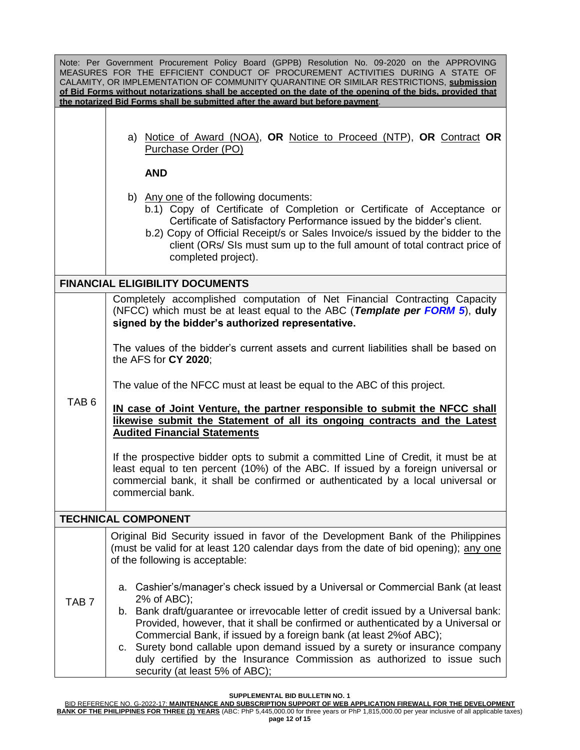| Note: Per Government Procurement Policy Board (GPPB) Resolution No. 09-2020 on the APPROVING<br>MEASURES FOR THE EFFICIENT CONDUCT OF PROCUREMENT ACTIVITIES DURING A STATE OF<br>CALAMITY, OR IMPLEMENTATION OF COMMUNITY QUARANTINE OR SIMILAR RESTRICTIONS, submission<br>of Bid Forms without notarizations shall be accepted on the date of the opening of the bids, provided that<br>the notarized Bid Forms shall be submitted after the award but before payment. |                                                                                                                                                                                                                                                                                                                                                                                                                                                                                                                                               |  |  |
|---------------------------------------------------------------------------------------------------------------------------------------------------------------------------------------------------------------------------------------------------------------------------------------------------------------------------------------------------------------------------------------------------------------------------------------------------------------------------|-----------------------------------------------------------------------------------------------------------------------------------------------------------------------------------------------------------------------------------------------------------------------------------------------------------------------------------------------------------------------------------------------------------------------------------------------------------------------------------------------------------------------------------------------|--|--|
|                                                                                                                                                                                                                                                                                                                                                                                                                                                                           | a) Notice of Award (NOA), OR Notice to Proceed (NTP), OR Contract OR<br>Purchase Order (PO)                                                                                                                                                                                                                                                                                                                                                                                                                                                   |  |  |
|                                                                                                                                                                                                                                                                                                                                                                                                                                                                           | <b>AND</b>                                                                                                                                                                                                                                                                                                                                                                                                                                                                                                                                    |  |  |
|                                                                                                                                                                                                                                                                                                                                                                                                                                                                           | b) Any one of the following documents:<br>b.1) Copy of Certificate of Completion or Certificate of Acceptance or<br>Certificate of Satisfactory Performance issued by the bidder's client.<br>b.2) Copy of Official Receipt/s or Sales Invoice/s issued by the bidder to the<br>client (ORs/ SIs must sum up to the full amount of total contract price of<br>completed project).                                                                                                                                                             |  |  |
|                                                                                                                                                                                                                                                                                                                                                                                                                                                                           | <b>FINANCIAL ELIGIBILITY DOCUMENTS</b>                                                                                                                                                                                                                                                                                                                                                                                                                                                                                                        |  |  |
|                                                                                                                                                                                                                                                                                                                                                                                                                                                                           | Completely accomplished computation of Net Financial Contracting Capacity<br>(NFCC) which must be at least equal to the ABC (Template per FORM 5), duly<br>signed by the bidder's authorized representative.                                                                                                                                                                                                                                                                                                                                  |  |  |
|                                                                                                                                                                                                                                                                                                                                                                                                                                                                           | The values of the bidder's current assets and current liabilities shall be based on<br>the AFS for CY 2020;                                                                                                                                                                                                                                                                                                                                                                                                                                   |  |  |
|                                                                                                                                                                                                                                                                                                                                                                                                                                                                           | The value of the NFCC must at least be equal to the ABC of this project.                                                                                                                                                                                                                                                                                                                                                                                                                                                                      |  |  |
| TAB <sub>6</sub>                                                                                                                                                                                                                                                                                                                                                                                                                                                          | IN case of Joint Venture, the partner responsible to submit the NFCC shall<br>likewise submit the Statement of all its ongoing contracts and the Latest<br><b>Audited Financial Statements</b>                                                                                                                                                                                                                                                                                                                                                |  |  |
|                                                                                                                                                                                                                                                                                                                                                                                                                                                                           | If the prospective bidder opts to submit a committed Line of Credit, it must be at<br>least equal to ten percent (10%) of the ABC. If issued by a foreign universal or<br>commercial bank, it shall be confirmed or authenticated by a local universal or<br>commercial bank.                                                                                                                                                                                                                                                                 |  |  |
|                                                                                                                                                                                                                                                                                                                                                                                                                                                                           | <b>TECHNICAL COMPONENT</b>                                                                                                                                                                                                                                                                                                                                                                                                                                                                                                                    |  |  |
|                                                                                                                                                                                                                                                                                                                                                                                                                                                                           | Original Bid Security issued in favor of the Development Bank of the Philippines<br>(must be valid for at least 120 calendar days from the date of bid opening); any one<br>of the following is acceptable:                                                                                                                                                                                                                                                                                                                                   |  |  |
| TAB <sub>7</sub>                                                                                                                                                                                                                                                                                                                                                                                                                                                          | a. Cashier's/manager's check issued by a Universal or Commercial Bank (at least<br>2% of ABC);<br>b. Bank draft/guarantee or irrevocable letter of credit issued by a Universal bank:<br>Provided, however, that it shall be confirmed or authenticated by a Universal or<br>Commercial Bank, if issued by a foreign bank (at least 2% of ABC);<br>Surety bond callable upon demand issued by a surety or insurance company<br>C.<br>duly certified by the Insurance Commission as authorized to issue such<br>security (at least 5% of ABC); |  |  |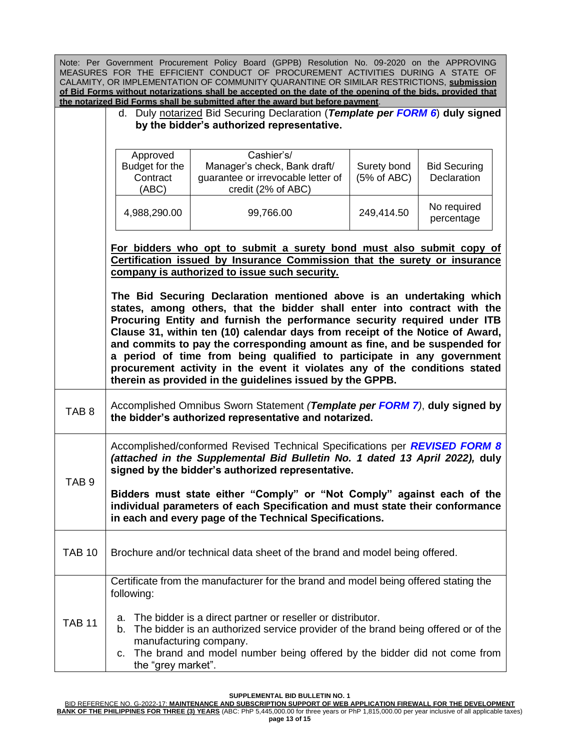|                  |                                                                                                                                                                                                                                                                                                                                                                                                                                     | Note: Per Government Procurement Policy Board (GPPB) Resolution No. 09-2020 on the APPROVING<br>MEASURES FOR THE EFFICIENT CONDUCT OF PROCUREMENT ACTIVITIES DURING A STATE OF<br>CALAMITY, OR IMPLEMENTATION OF COMMUNITY QUARANTINE OR SIMILAR RESTRICTIONS, submission<br>of Bid Forms without notarizations shall be accepted on the date of the opening of the bids, provided that<br>the notarized Bid Forms shall be submitted after the award but before payment.                                                                                                                                       |                            |                                    |
|------------------|-------------------------------------------------------------------------------------------------------------------------------------------------------------------------------------------------------------------------------------------------------------------------------------------------------------------------------------------------------------------------------------------------------------------------------------|-----------------------------------------------------------------------------------------------------------------------------------------------------------------------------------------------------------------------------------------------------------------------------------------------------------------------------------------------------------------------------------------------------------------------------------------------------------------------------------------------------------------------------------------------------------------------------------------------------------------|----------------------------|------------------------------------|
|                  | d. Duly notarized Bid Securing Declaration (Template per FORM 6) duly signed<br>by the bidder's authorized representative.                                                                                                                                                                                                                                                                                                          |                                                                                                                                                                                                                                                                                                                                                                                                                                                                                                                                                                                                                 |                            |                                    |
|                  | Approved<br>Budget for the<br>Contract<br>(ABC)                                                                                                                                                                                                                                                                                                                                                                                     | Cashier's/<br>Manager's check, Bank draft/<br>guarantee or irrevocable letter of<br>credit (2% of ABC)                                                                                                                                                                                                                                                                                                                                                                                                                                                                                                          | Surety bond<br>(5% of ABC) | <b>Bid Securing</b><br>Declaration |
|                  | 4,988,290.00                                                                                                                                                                                                                                                                                                                                                                                                                        | 99,766.00                                                                                                                                                                                                                                                                                                                                                                                                                                                                                                                                                                                                       | 249,414.50                 | No required<br>percentage          |
|                  | For bidders who opt to submit a surety bond must also submit copy of<br>Certification issued by Insurance Commission that the surety or insurance<br>company is authorized to issue such security.                                                                                                                                                                                                                                  |                                                                                                                                                                                                                                                                                                                                                                                                                                                                                                                                                                                                                 |                            |                                    |
|                  |                                                                                                                                                                                                                                                                                                                                                                                                                                     | The Bid Securing Declaration mentioned above is an undertaking which<br>states, among others, that the bidder shall enter into contract with the<br>Procuring Entity and furnish the performance security required under ITB<br>Clause 31, within ten (10) calendar days from receipt of the Notice of Award,<br>and commits to pay the corresponding amount as fine, and be suspended for<br>a period of time from being qualified to participate in any government<br>procurement activity in the event it violates any of the conditions stated<br>therein as provided in the guidelines issued by the GPPB. |                            |                                    |
| TAB <sub>8</sub> | Accomplished Omnibus Sworn Statement (Template per FORM 7), duly signed by<br>the bidder's authorized representative and notarized.                                                                                                                                                                                                                                                                                                 |                                                                                                                                                                                                                                                                                                                                                                                                                                                                                                                                                                                                                 |                            |                                    |
| TAB 9            | Accomplished/conformed Revised Technical Specifications per REVISED FORM 8<br>(attached in the Supplemental Bid Bulletin No. 1 dated 13 April 2022), duly<br>signed by the bidder's authorized representative.<br>Bidders must state either "Comply" or "Not Comply" against each of the<br>individual parameters of each Specification and must state their conformance<br>in each and every page of the Technical Specifications. |                                                                                                                                                                                                                                                                                                                                                                                                                                                                                                                                                                                                                 |                            |                                    |
| <b>TAB 10</b>    |                                                                                                                                                                                                                                                                                                                                                                                                                                     | Brochure and/or technical data sheet of the brand and model being offered.                                                                                                                                                                                                                                                                                                                                                                                                                                                                                                                                      |                            |                                    |
|                  | following:                                                                                                                                                                                                                                                                                                                                                                                                                          | Certificate from the manufacturer for the brand and model being offered stating the<br>a. The bidder is a direct partner or reseller or distributor.                                                                                                                                                                                                                                                                                                                                                                                                                                                            |                            |                                    |
| <b>TAB 11</b>    | the "grey market".                                                                                                                                                                                                                                                                                                                                                                                                                  | b. The bidder is an authorized service provider of the brand being offered or of the<br>manufacturing company.<br>c. The brand and model number being offered by the bidder did not come from                                                                                                                                                                                                                                                                                                                                                                                                                   |                            |                                    |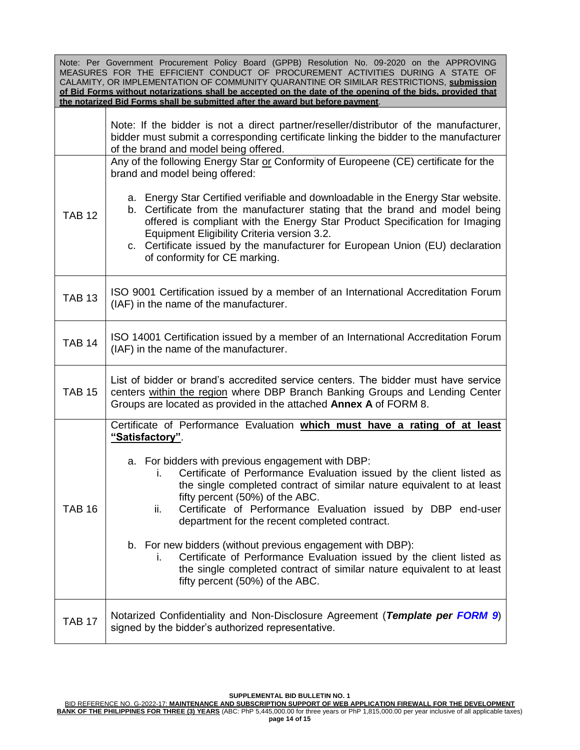| Note: Per Government Procurement Policy Board (GPPB) Resolution No. 09-2020 on the APPROVING<br>MEASURES FOR THE EFFICIENT CONDUCT OF PROCUREMENT ACTIVITIES DURING A STATE OF<br>CALAMITY, OR IMPLEMENTATION OF COMMUNITY QUARANTINE OR SIMILAR RESTRICTIONS, submission<br>of Bid Forms without notarizations shall be accepted on the date of the opening of the bids, provided that<br>the notarized Bid Forms shall be submitted after the award but before payment. |                                                                                                                                                                                                                                                                                                                                                                                                                                                                                                                                                                                                                                                                                                                                |  |  |
|---------------------------------------------------------------------------------------------------------------------------------------------------------------------------------------------------------------------------------------------------------------------------------------------------------------------------------------------------------------------------------------------------------------------------------------------------------------------------|--------------------------------------------------------------------------------------------------------------------------------------------------------------------------------------------------------------------------------------------------------------------------------------------------------------------------------------------------------------------------------------------------------------------------------------------------------------------------------------------------------------------------------------------------------------------------------------------------------------------------------------------------------------------------------------------------------------------------------|--|--|
|                                                                                                                                                                                                                                                                                                                                                                                                                                                                           | Note: If the bidder is not a direct partner/reseller/distributor of the manufacturer,<br>bidder must submit a corresponding certificate linking the bidder to the manufacturer<br>of the brand and model being offered.                                                                                                                                                                                                                                                                                                                                                                                                                                                                                                        |  |  |
| <b>TAB 12</b>                                                                                                                                                                                                                                                                                                                                                                                                                                                             | Any of the following Energy Star or Conformity of Europeene (CE) certificate for the<br>brand and model being offered:<br>a. Energy Star Certified verifiable and downloadable in the Energy Star website.<br>b. Certificate from the manufacturer stating that the brand and model being<br>offered is compliant with the Energy Star Product Specification for Imaging<br>Equipment Eligibility Criteria version 3.2.<br>c. Certificate issued by the manufacturer for European Union (EU) declaration                                                                                                                                                                                                                       |  |  |
| <b>TAB 13</b>                                                                                                                                                                                                                                                                                                                                                                                                                                                             | of conformity for CE marking.<br>ISO 9001 Certification issued by a member of an International Accreditation Forum                                                                                                                                                                                                                                                                                                                                                                                                                                                                                                                                                                                                             |  |  |
| <b>TAB 14</b>                                                                                                                                                                                                                                                                                                                                                                                                                                                             | (IAF) in the name of the manufacturer.<br>ISO 14001 Certification issued by a member of an International Accreditation Forum<br>(IAF) in the name of the manufacturer.                                                                                                                                                                                                                                                                                                                                                                                                                                                                                                                                                         |  |  |
| <b>TAB 15</b>                                                                                                                                                                                                                                                                                                                                                                                                                                                             | List of bidder or brand's accredited service centers. The bidder must have service<br>centers within the region where DBP Branch Banking Groups and Lending Center<br>Groups are located as provided in the attached Annex A of FORM 8.                                                                                                                                                                                                                                                                                                                                                                                                                                                                                        |  |  |
| <b>TAB 16</b>                                                                                                                                                                                                                                                                                                                                                                                                                                                             | Certificate of Performance Evaluation which must have a rating of at least<br>"Satisfactory".<br>a. For bidders with previous engagement with DBP:<br>Certificate of Performance Evaluation issued by the client listed as<br>ı.<br>the single completed contract of similar nature equivalent to at least<br>fifty percent (50%) of the ABC.<br>Certificate of Performance Evaluation issued by DBP end-user<br>ii.<br>department for the recent completed contract.<br>b. For new bidders (without previous engagement with DBP):<br>Certificate of Performance Evaluation issued by the client listed as<br>Ĺ.<br>the single completed contract of similar nature equivalent to at least<br>fifty percent (50%) of the ABC. |  |  |
| <b>TAB 17</b>                                                                                                                                                                                                                                                                                                                                                                                                                                                             | Notarized Confidentiality and Non-Disclosure Agreement (Template per FORM 9)<br>signed by the bidder's authorized representative.                                                                                                                                                                                                                                                                                                                                                                                                                                                                                                                                                                                              |  |  |